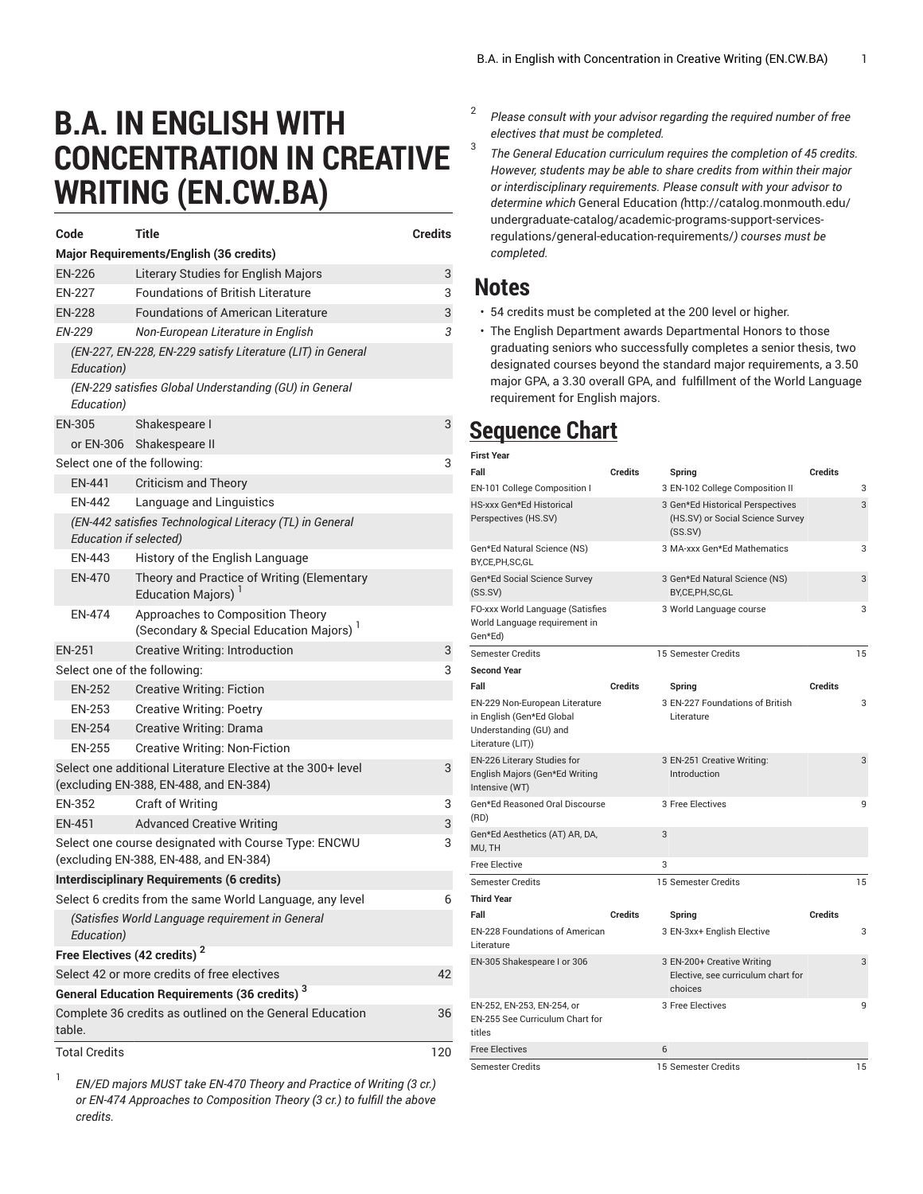## **B.A. IN ENGLISH WITH CONCENTRATION IN CREATIVE WRITING (EN.CW.BA)**

| Code                                                                                                  | <b>Title</b>                                                               | <b>Credits</b> |  |  |
|-------------------------------------------------------------------------------------------------------|----------------------------------------------------------------------------|----------------|--|--|
|                                                                                                       | Major Requirements/English (36 credits)                                    |                |  |  |
| <b>EN-226</b>                                                                                         | <b>Literary Studies for English Majors</b>                                 | 3              |  |  |
| <b>EN-227</b>                                                                                         | <b>Foundations of British Literature</b>                                   | 3              |  |  |
| <b>EN-228</b>                                                                                         | <b>Foundations of American Literature</b>                                  | 3              |  |  |
| EN-229                                                                                                | Non-European Literature in English                                         | 3              |  |  |
| Education)                                                                                            | (EN-227, EN-228, EN-229 satisfy Literature (LIT) in General                |                |  |  |
| Education)                                                                                            | (EN-229 satisfies Global Understanding (GU) in General                     |                |  |  |
| <b>EN-305</b>                                                                                         | Shakespeare I                                                              | 3              |  |  |
| or EN-306                                                                                             | Shakespeare II                                                             |                |  |  |
| Select one of the following:                                                                          |                                                                            |                |  |  |
| EN-441                                                                                                | <b>Criticism and Theory</b>                                                |                |  |  |
| <b>EN-442</b>                                                                                         | Language and Linguistics                                                   |                |  |  |
| (EN-442 satisfies Technological Literacy (TL) in General<br><b>Education if selected)</b>             |                                                                            |                |  |  |
| EN-443                                                                                                | History of the English Language                                            |                |  |  |
| <b>FN-470</b>                                                                                         | Theory and Practice of Writing (Elementary<br><b>Education Majors)</b>     |                |  |  |
| <b>FN-474</b>                                                                                         | Approaches to Composition Theory<br>(Secondary & Special Education Majors) |                |  |  |
| <b>EN-251</b>                                                                                         | Creative Writing: Introduction                                             | 3              |  |  |
| Select one of the following:                                                                          | 3                                                                          |                |  |  |
| <b>EN-252</b>                                                                                         | <b>Creative Writing: Fiction</b>                                           |                |  |  |
| <b>EN-253</b>                                                                                         | <b>Creative Writing: Poetry</b>                                            |                |  |  |
| <b>EN-254</b>                                                                                         | Creative Writing: Drama                                                    |                |  |  |
| <b>EN-255</b>                                                                                         | <b>Creative Writing: Non-Fiction</b>                                       |                |  |  |
| Select one additional Literature Elective at the 300+ level<br>(excluding EN-388, EN-488, and EN-384) |                                                                            |                |  |  |
| EN-352                                                                                                | <b>Craft of Writing</b>                                                    | 3              |  |  |
| EN-451                                                                                                | <b>Advanced Creative Writing</b>                                           | 3              |  |  |
| Select one course designated with Course Type: ENCWU<br>(excluding EN-388, EN-488, and EN-384)        |                                                                            |                |  |  |
| <b>Interdisciplinary Requirements (6 credits)</b>                                                     |                                                                            |                |  |  |
| Select 6 credits from the same World Language, any level                                              |                                                                            |                |  |  |
| (Satisfies World Language requirement in General<br>Education)                                        |                                                                            |                |  |  |
| Free Electives (42 credits) <sup>2</sup>                                                              |                                                                            |                |  |  |
| Select 42 or more credits of free electives                                                           |                                                                            |                |  |  |
| <b>General Education Requirements (36 credits)</b> 3                                                  |                                                                            |                |  |  |
| Complete 36 credits as outlined on the General Education<br>36<br>table.                              |                                                                            |                |  |  |
| <b>Total Credits</b>                                                                                  |                                                                            | 120            |  |  |

1 *EN/ED majors MUST take EN-470 Theory and Practice of Writing (3 cr.) or EN-474 Approaches to Composition Theory (3 cr.) to fulfill the above credits.*

- 2 *Please consult with your advisor regarding the required number of free electives that must be completed.* 3
	- *The General Education curriculum requires the completion of 45 credits. However, students may be able to share credits from within their major or interdisciplinary requirements. Please consult with your advisor to determine which* General [Education](http://catalog.monmouth.edu/undergraduate-catalog/academic-programs-support-services-regulations/general-education-requirements/) *(*[http://catalog.monmouth.edu/](http://catalog.monmouth.edu/undergraduate-catalog/academic-programs-support-services-regulations/general-education-requirements/) [undergraduate-catalog/academic-programs-support-services](http://catalog.monmouth.edu/undergraduate-catalog/academic-programs-support-services-regulations/general-education-requirements/)[regulations/general-education-requirements/](http://catalog.monmouth.edu/undergraduate-catalog/academic-programs-support-services-regulations/general-education-requirements/)*) courses must be completed.*

## **Notes**

- 54 credits must be completed at the 200 level or higher.
- The English Department awards Departmental Honors to those graduating seniors who successfully completes a senior thesis, two designated courses beyond the standard major requirements, a 3.50 major GPA, a 3.30 overall GPA, and fulfillment of the World Language requirement for English majors.

## **Sequence Chart**

| <b>First Year</b>                                                                                          |                |                                                                                 |                |
|------------------------------------------------------------------------------------------------------------|----------------|---------------------------------------------------------------------------------|----------------|
| Fall                                                                                                       | <b>Credits</b> | Spring                                                                          | <b>Credits</b> |
| EN-101 College Composition I                                                                               |                | 3 EN-102 College Composition II                                                 | 3              |
| HS-xxx Gen*Ed Historical<br>Perspectives (HS.SV)                                                           |                | 3 Gen*Ed Historical Perspectives<br>(HS.SV) or Social Science Survey<br>(SS.SV) | 3              |
| Gen*Ed Natural Science (NS)<br>BY,CE,PH,SC,GL                                                              |                | 3 MA-xxx Gen*Ed Mathematics                                                     | 3              |
| Gen*Ed Social Science Survey<br>(SS.SV)                                                                    |                | 3 Gen*Ed Natural Science (NS)<br>BY,CE,PH,SC,GL                                 | 3              |
| FO-xxx World Language (Satisfies<br>World Language requirement in<br>Gen*Ed)                               |                | 3 World Language course                                                         | 3              |
| <b>Semester Credits</b>                                                                                    |                | 15 Semester Credits                                                             | 15             |
| <b>Second Year</b>                                                                                         |                |                                                                                 |                |
| Fall                                                                                                       | <b>Credits</b> | Spring                                                                          | <b>Credits</b> |
| EN-229 Non-European Literature<br>in English (Gen*Ed Global<br>Understanding (GU) and<br>Literature (LIT)) |                | 3 EN-227 Foundations of British<br>Literature                                   | 3              |
| EN-226 Literary Studies for<br>English Majors (Gen*Ed Writing<br>Intensive (WT)                            |                | 3 EN-251 Creative Writing:<br>Introduction                                      | 3              |
| Gen*Ed Reasoned Oral Discourse<br>(RD)                                                                     |                | 3 Free Electives                                                                | 9              |
| Gen*Ed Aesthetics (AT) AR, DA,<br>MU, TH                                                                   | 3              |                                                                                 |                |
| <b>Free Elective</b>                                                                                       | 3              |                                                                                 |                |
| <b>Semester Credits</b>                                                                                    |                | 15 Semester Credits                                                             | 15             |
| <b>Third Year</b>                                                                                          |                |                                                                                 |                |
| Fall                                                                                                       | <b>Credits</b> | Spring                                                                          | <b>Credits</b> |
| <b>EN-228 Foundations of American</b><br>Literature                                                        |                | 3 EN-3xx+ English Elective                                                      | 3              |
| EN-305 Shakespeare I or 306                                                                                |                | 3 EN-200+ Creative Writing<br>Elective, see curriculum chart for<br>choices     | 3              |
| EN-252, EN-253, EN-254, or<br>EN-255 See Curriculum Chart for<br>titles                                    |                | 3 Free Electives                                                                | 9              |
| <b>Free Electives</b>                                                                                      | 6              |                                                                                 |                |
| <b>Semester Credits</b>                                                                                    |                | 15 Semester Credits                                                             | 15             |